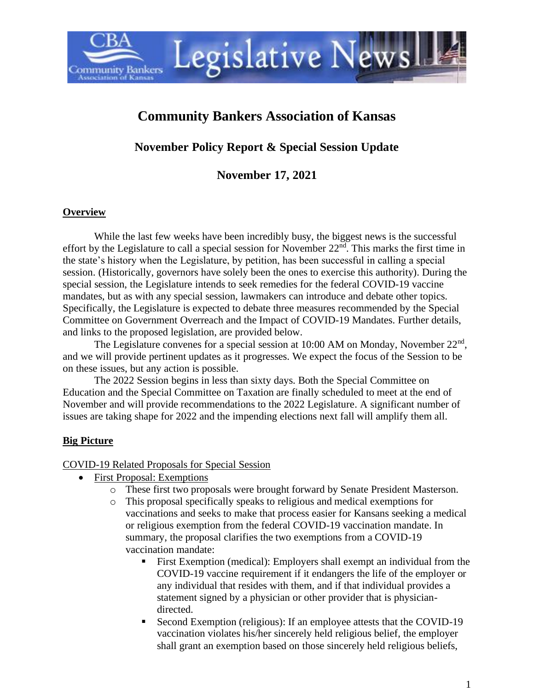# **Community Bankers Association of Kansas**

Legislative Newsl

**November Policy Report & Special Session Update**

**November 17, 2021**

#### **Overview**

**Community Bankers** 

While the last few weeks have been incredibly busy, the biggest news is the successful effort by the Legislature to call a special session for November  $22<sup>nd</sup>$ . This marks the first time in the state's history when the Legislature, by petition, has been successful in calling a special session. (Historically, governors have solely been the ones to exercise this authority). During the special session, the Legislature intends to seek remedies for the federal COVID-19 vaccine mandates, but as with any special session, lawmakers can introduce and debate other topics. Specifically, the Legislature is expected to debate three measures recommended by the Special Committee on Government Overreach and the Impact of COVID-19 Mandates. Further details, and links to the proposed legislation, are provided below.

The Legislature convenes for a special session at 10:00 AM on Monday, November  $22<sup>nd</sup>$ , and we will provide pertinent updates as it progresses. We expect the focus of the Session to be on these issues, but any action is possible.

The 2022 Session begins in less than sixty days. Both the Special Committee on Education and the Special Committee on Taxation are finally scheduled to meet at the end of November and will provide recommendations to the 2022 Legislature. A significant number of issues are taking shape for 2022 and the impending elections next fall will amplify them all.

#### **Big Picture**

#### COVID-19 Related Proposals for Special Session

- First Proposal: Exemptions
	- o These first two proposals were brought forward by Senate President Masterson.
	- o This proposal specifically speaks to religious and medical exemptions for vaccinations and seeks to make that process easier for Kansans seeking a medical or religious exemption from the federal COVID-19 vaccination mandate. In summary, the proposal clarifies the two exemptions from a COVID-19 vaccination mandate:
		- First Exemption (medical): Employers shall exempt an individual from the COVID-19 vaccine requirement if it endangers the life of the employer or any individual that resides with them, and if that individual provides a statement signed by a physician or other provider that is physiciandirected.
		- Second Exemption (religious): If an employee attests that the COVID-19 vaccination violates his/her sincerely held religious belief, the employer shall grant an exemption based on those sincerely held religious beliefs,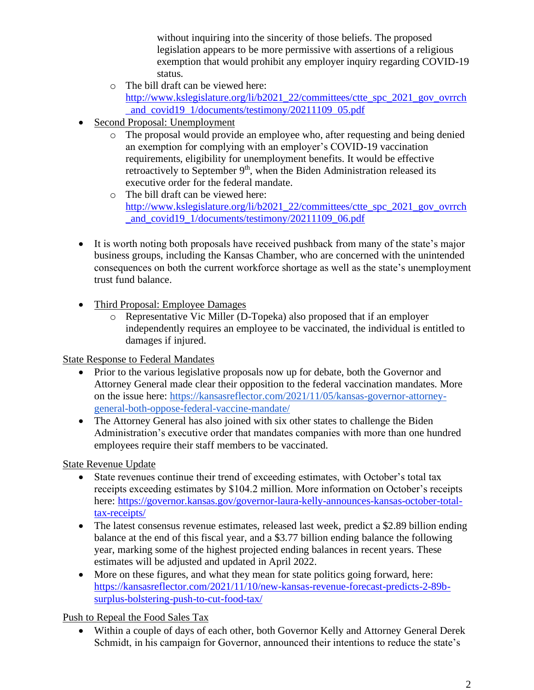without inquiring into the sincerity of those beliefs. The proposed legislation appears to be more permissive with assertions of a religious exemption that would prohibit any employer inquiry regarding COVID-19 status.

- o The bill draft can be viewed here: [http://www.kslegislature.org/li/b2021\\_22/committees/ctte\\_spc\\_2021\\_gov\\_ovrrch](http://www.kslegislature.org/li/b2021_22/committees/ctte_spc_2021_gov_ovrrch_and_covid19_1/documents/testimony/20211109_05.pdf) and\_covid19\_1/documents/testimony/20211109\_05.pdf
- Second Proposal: Unemployment
	- o The proposal would provide an employee who, after requesting and being denied an exemption for complying with an employer's COVID-19 vaccination requirements, eligibility for unemployment benefits. It would be effective retroactively to September 9<sup>th</sup>, when the Biden Administration released its executive order for the federal mandate.
	- o The bill draft can be viewed here: [http://www.kslegislature.org/li/b2021\\_22/committees/ctte\\_spc\\_2021\\_gov\\_ovrrch](http://www.kslegislature.org/li/b2021_22/committees/ctte_spc_2021_gov_ovrrch_and_covid19_1/documents/testimony/20211109_06.pdf) [\\_and\\_covid19\\_1/documents/testimony/20211109\\_06.pdf](http://www.kslegislature.org/li/b2021_22/committees/ctte_spc_2021_gov_ovrrch_and_covid19_1/documents/testimony/20211109_06.pdf)
- It is worth noting both proposals have received pushback from many of the state's major business groups, including the Kansas Chamber, who are concerned with the unintended consequences on both the current workforce shortage as well as the state's unemployment trust fund balance.
- Third Proposal: Employee Damages
	- o Representative Vic Miller (D-Topeka) also proposed that if an employer independently requires an employee to be vaccinated, the individual is entitled to damages if injured.

State Response to Federal Mandates

- Prior to the various legislative proposals now up for debate, both the Governor and Attorney General made clear their opposition to the federal vaccination mandates. More on the issue here: [https://kansasreflector.com/2021/11/05/kansas-governor-attorney](https://kansasreflector.com/2021/11/05/kansas-governor-attorney-general-both-oppose-federal-vaccine-mandate/)[general-both-oppose-federal-vaccine-mandate/](https://kansasreflector.com/2021/11/05/kansas-governor-attorney-general-both-oppose-federal-vaccine-mandate/)
- The Attorney General has also joined with six other states to challenge the Biden Administration's executive order that mandates companies with more than one hundred employees require their staff members to be vaccinated.

State Revenue Update

- State revenues continue their trend of exceeding estimates, with October's total tax receipts exceeding estimates by \$104.2 million. More information on October's receipts here: [https://governor.kansas.gov/governor-laura-kelly-announces-kansas-october-total](https://governor.kansas.gov/governor-laura-kelly-announces-kansas-october-total-tax-receipts/)[tax-receipts/](https://governor.kansas.gov/governor-laura-kelly-announces-kansas-october-total-tax-receipts/)
- The latest consensus revenue estimates, released last week, predict a \$2.89 billion ending balance at the end of this fiscal year, and a \$3.77 billion ending balance the following year, marking some of the highest projected ending balances in recent years. These estimates will be adjusted and updated in April 2022.
- More on these figures, and what they mean for state politics going forward, here: [https://kansasreflector.com/2021/11/10/new-kansas-revenue-forecast-predicts-2-89b](https://kansasreflector.com/2021/11/10/new-kansas-revenue-forecast-predicts-2-89b-surplus-bolstering-push-to-cut-food-tax/)[surplus-bolstering-push-to-cut-food-tax/](https://kansasreflector.com/2021/11/10/new-kansas-revenue-forecast-predicts-2-89b-surplus-bolstering-push-to-cut-food-tax/)

Push to Repeal the Food Sales Tax

• Within a couple of days of each other, both Governor Kelly and Attorney General Derek Schmidt, in his campaign for Governor, announced their intentions to reduce the state's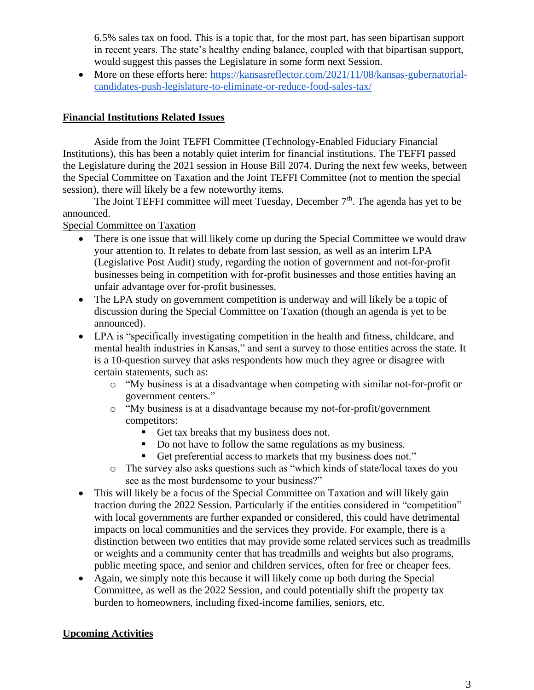6.5% sales tax on food. This is a topic that, for the most part, has seen bipartisan support in recent years. The state's healthy ending balance, coupled with that bipartisan support, would suggest this passes the Legislature in some form next Session.

• More on these efforts here: [https://kansasreflector.com/2021/11/08/kansas-gubernatorial](https://kansasreflector.com/2021/11/08/kansas-gubernatorial-candidates-push-legislature-to-eliminate-or-reduce-food-sales-tax/)[candidates-push-legislature-to-eliminate-or-reduce-food-sales-tax/](https://kansasreflector.com/2021/11/08/kansas-gubernatorial-candidates-push-legislature-to-eliminate-or-reduce-food-sales-tax/)

### **Financial Institutions Related Issues**

Aside from the Joint TEFFI Committee (Technology-Enabled Fiduciary Financial Institutions), this has been a notably quiet interim for financial institutions. The TEFFI passed the Legislature during the 2021 session in House Bill 2074. During the next few weeks, between the Special Committee on Taxation and the Joint TEFFI Committee (not to mention the special session), there will likely be a few noteworthy items.

The Joint TEFFI committee will meet Tuesday, December 7<sup>th</sup>. The agenda has yet to be announced.

#### Special Committee on Taxation

- There is one issue that will likely come up during the Special Committee we would draw your attention to. It relates to debate from last session, as well as an interim LPA (Legislative Post Audit) study, regarding the notion of government and not-for-profit businesses being in competition with for-profit businesses and those entities having an unfair advantage over for-profit businesses.
- The LPA study on government competition is underway and will likely be a topic of discussion during the Special Committee on Taxation (though an agenda is yet to be announced).
- LPA is "specifically investigating competition in the health and fitness, childcare, and mental health industries in Kansas," and sent a survey to those entities across the state. It is a 10-question survey that asks respondents how much they agree or disagree with certain statements, such as:
	- o "My business is at a disadvantage when competing with similar not-for-profit or government centers."
	- o "My business is at a disadvantage because my not-for-profit/government competitors:
		- Get tax breaks that my business does not.
		- Do not have to follow the same regulations as my business.
		- Get preferential access to markets that my business does not."
	- o The survey also asks questions such as "which kinds of state/local taxes do you see as the most burdensome to your business?"
- This will likely be a focus of the Special Committee on Taxation and will likely gain traction during the 2022 Session. Particularly if the entities considered in "competition" with local governments are further expanded or considered, this could have detrimental impacts on local communities and the services they provide. For example, there is a distinction between two entities that may provide some related services such as treadmills or weights and a community center that has treadmills and weights but also programs, public meeting space, and senior and children services, often for free or cheaper fees.
- Again, we simply note this because it will likely come up both during the Special Committee, as well as the 2022 Session, and could potentially shift the property tax burden to homeowners, including fixed-income families, seniors, etc.

## **Upcoming Activities**